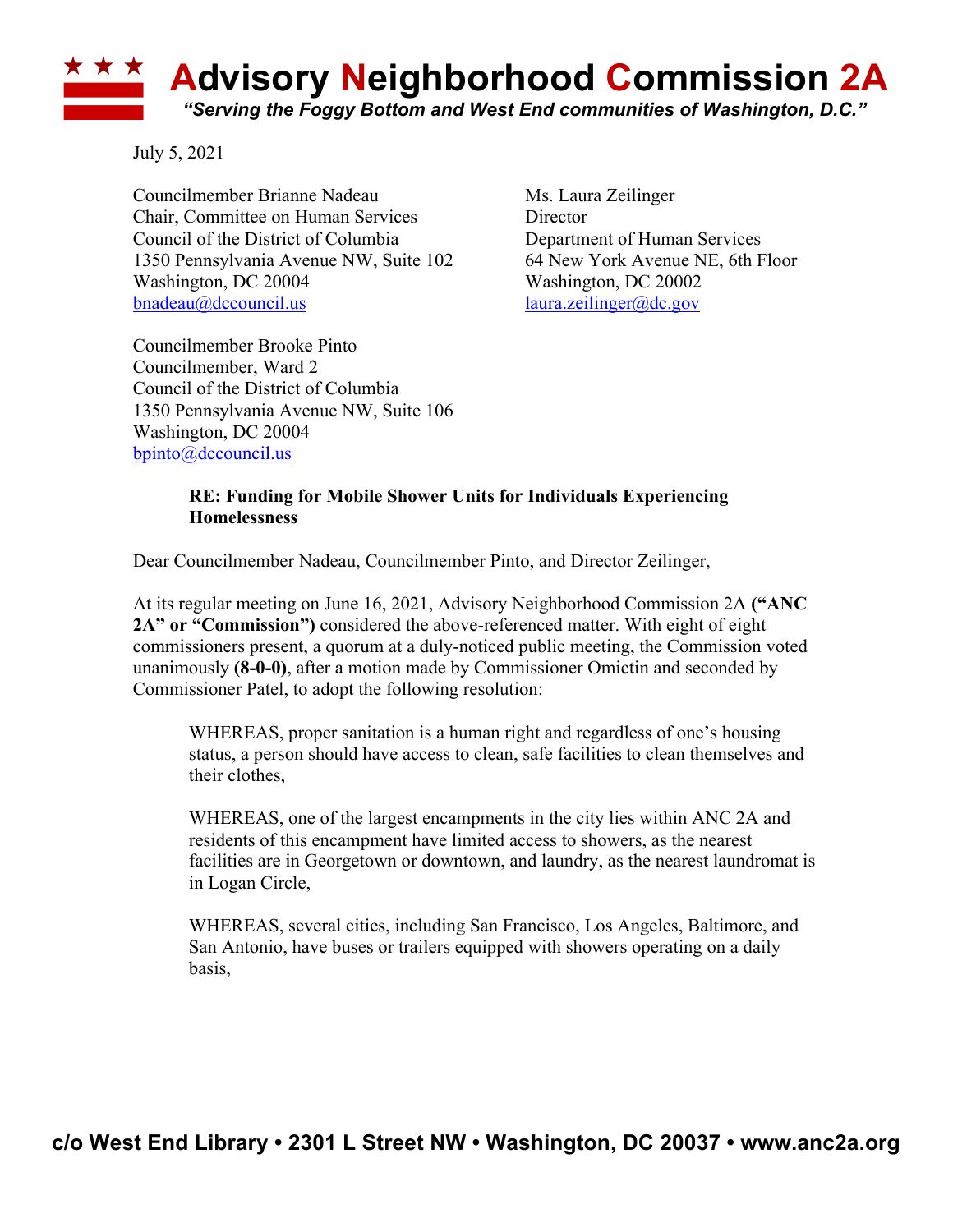## **\* \* \* Advisory Neighborhood Commission 2A** *"Serving the Foggy Bottom and West End communities of Washington, D.C."*

July 5, 2021

Councilmember Brianne Nadeau Ms. Laura Zeilinger Chair, Committee on Human Services Director Council of the District of Columbia Department of Human Services 1350 Pennsylvania Avenue NW, Suite 102 64 New York Avenue NE, 6th Floor Washington, DC 20004 Washington, DC 20002 bnadeau@dccouncil.us laura.zeilinger@dc.gov

Councilmember Brooke Pinto Councilmember, Ward 2 Council of the District of Columbia 1350 Pennsylvania Avenue NW, Suite 106 Washington, DC 20004 bpinto@dccouncil.us

## **RE: Funding for Mobile Shower Units for Individuals Experiencing Homelessness**

Dear Councilmember Nadeau, Councilmember Pinto, and Director Zeilinger,

At its regular meeting on June 16, 2021, Advisory Neighborhood Commission 2A **("ANC 2A" or "Commission")** considered the above-referenced matter. With eight of eight commissioners present, a quorum at a duly-noticed public meeting, the Commission voted unanimously **(8-0-0)**, after a motion made by Commissioner Omictin and seconded by Commissioner Patel, to adopt the following resolution:

WHEREAS, proper sanitation is a human right and regardless of one's housing status, a person should have access to clean, safe facilities to clean themselves and their clothes,

WHEREAS, one of the largest encampments in the city lies within ANC 2A and residents of this encampment have limited access to showers, as the nearest facilities are in Georgetown or downtown, and laundry, as the nearest laundromat is in Logan Circle,

WHEREAS, several cities, including San Francisco, Los Angeles, Baltimore, and San Antonio, have buses or trailers equipped with showers operating on a daily basis,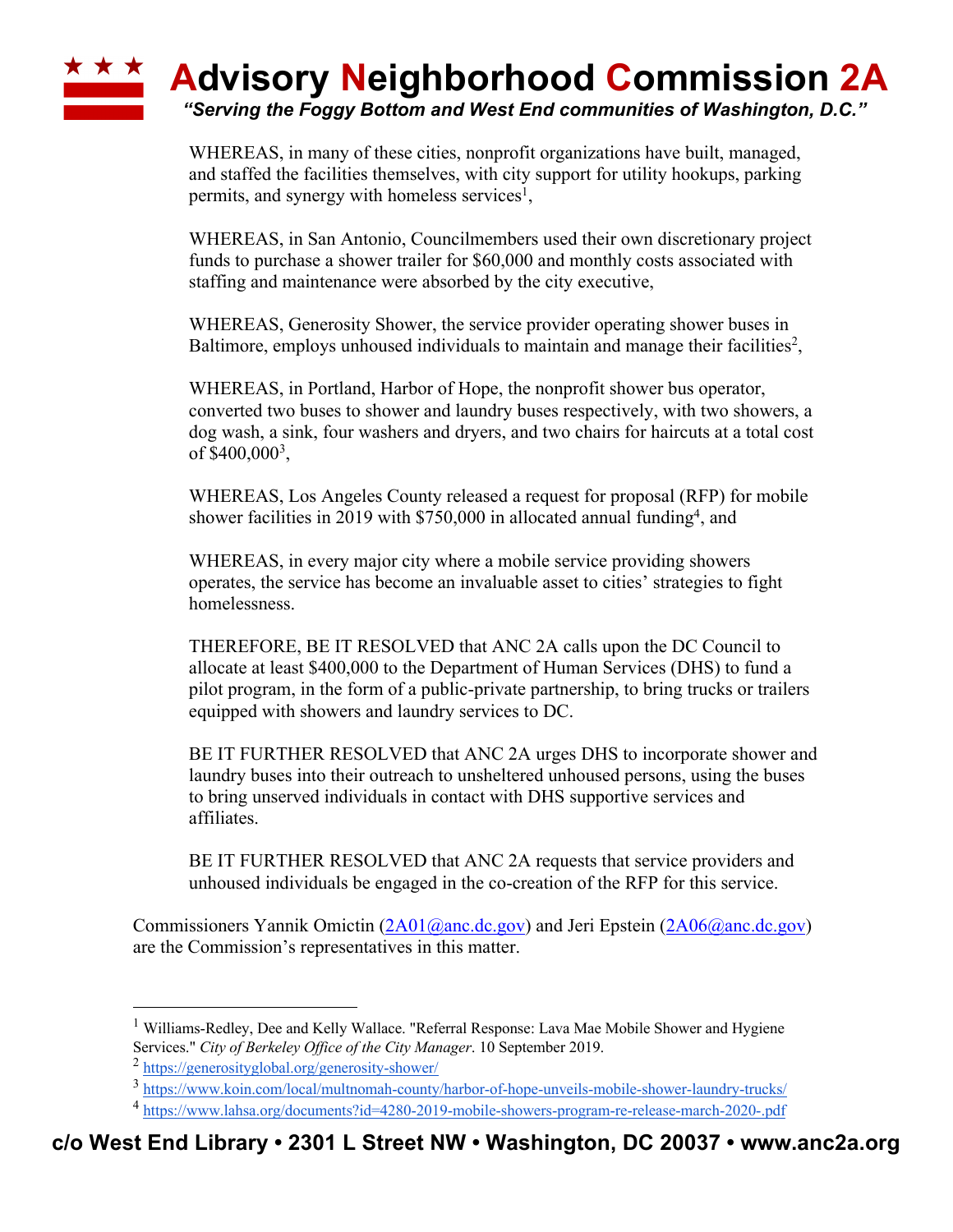## **\* \* \* Advisory Neighborhood Commission 2A** *"Serving the Foggy Bottom and West End communities of Washington, D.C."*

WHEREAS, in many of these cities, nonprofit organizations have built, managed, and staffed the facilities themselves, with city support for utility hookups, parking permits, and synergy with homeless services<sup>1</sup>,

WHEREAS, in San Antonio, Councilmembers used their own discretionary project funds to purchase a shower trailer for \$60,000 and monthly costs associated with staffing and maintenance were absorbed by the city executive,

WHEREAS, Generosity Shower, the service provider operating shower buses in Baltimore, employs unhoused individuals to maintain and manage their facilities<sup>2</sup>,

WHEREAS, in Portland, Harbor of Hope, the nonprofit shower bus operator, converted two buses to shower and laundry buses respectively, with two showers, a dog wash, a sink, four washers and dryers, and two chairs for haircuts at a total cost of \$400,000<sup>3</sup>,

WHEREAS, Los Angeles County released a request for proposal (RFP) for mobile shower facilities in 2019 with  $$750,000$  in allocated annual funding<sup>4</sup>, and

WHEREAS, in every major city where a mobile service providing showers operates, the service has become an invaluable asset to cities' strategies to fight homelessness.

THEREFORE, BE IT RESOLVED that ANC 2A calls upon the DC Council to allocate at least \$400,000 to the Department of Human Services (DHS) to fund a pilot program, in the form of a public-private partnership, to bring trucks or trailers equipped with showers and laundry services to DC.

BE IT FURTHER RESOLVED that ANC 2A urges DHS to incorporate shower and laundry buses into their outreach to unsheltered unhoused persons, using the buses to bring unserved individuals in contact with DHS supportive services and affiliates.

BE IT FURTHER RESOLVED that ANC 2A requests that service providers and unhoused individuals be engaged in the co-creation of the RFP for this service.

Commissioners Yannik Omictin (2A01@anc.dc.gov) and Jeri Epstein (2A06@anc.dc.gov) are the Commission's representatives in this matter.

<sup>&</sup>lt;sup>1</sup> Williams-Redley, Dee and Kelly Wallace. "Referral Response: Lava Mae Mobile Shower and Hygiene Services." *City of Berkeley Office of the City Manager*. 10 September 2019.

<sup>2</sup> https://generosityglobal.org/generosity-shower/

<sup>3</sup> https://www.koin.com/local/multnomah-county/harbor-of-hope-unveils-mobile-shower-laundry-trucks/

<sup>4</sup> https://www.lahsa.org/documents?id=4280-2019-mobile-showers-program-re-release-march-2020-.pdf